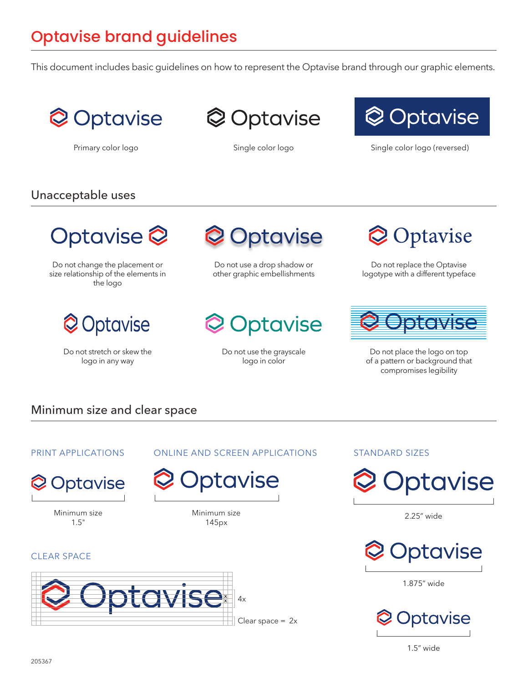# Optavise brand guidelines

This document includes basic guidelines on how to represent the Optavise brand through our graphic elements.



**Optavise** 



Primary color logo **Single color logo** Single color logo Single color logo (reversed)

## Unacceptable uses

ptavise<sup>2</sup>

Do not change the placement or size relationship of the elements in the logo



Do not stretch or skew the logo in any way



Do not use a drop shadow or other graphic embellishments



Do not use the grayscale logo in color

Minimum size 145px

otavise



Do not replace the Optavise logotype with a different typeface



Do not place the logo on top of a pattern or background that compromises legibility

## Minimum size and clear space

## PRINT APPLICATIONS



Minimum size 1.5"

#### CLEAR SPACE



#### ONLINE AND SCREEN APPLICATIONS STANDARD SIZES



2.25" wide



1.875" wide